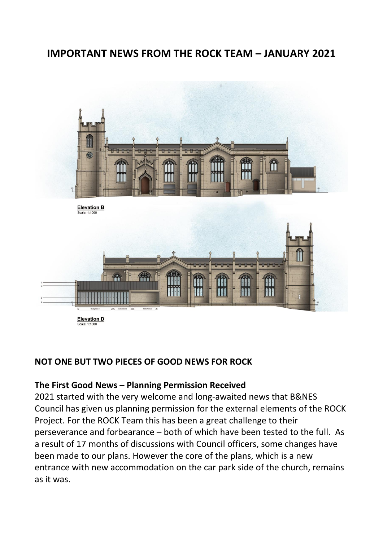# **IMPORTANT NEWS FROM THE ROCK TEAM – JANUARY 2021**



#### **NOT ONE BUT TWO PIECES OF GOOD NEWS FOR ROCK**

#### **The First Good News – Planning Permission Received**

2021 started with the very welcome and long-awaited news that B&NES Council has given us planning permission for the external elements of the ROCK Project. For the ROCK Team this has been a great challenge to their perseverance and forbearance – both of which have been tested to the full. As a result of 17 months of discussions with Council officers, some changes have been made to our plans. However the core of the plans, which is a new entrance with new accommodation on the car park side of the church, remains as it was.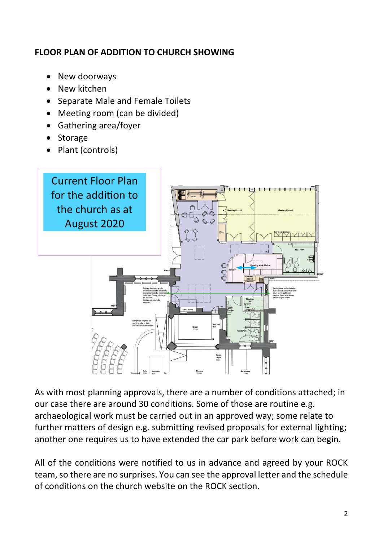# **FLOOR PLAN OF ADDITION TO CHURCH SHOWING**

- New doorways
- New kitchen
- Separate Male and Female Toilets
- Meeting room (can be divided)
- Gathering area/foyer
- Storage
- Plant (controls)



As with most planning approvals, there are a number of conditions attached; in our case there are around 30 conditions. Some of those are routine e.g. archaeological work must be carried out in an approved way; some relate to further matters of design e.g. submitting revised proposals for external lighting; another one requires us to have extended the car park before work can begin.

All of the conditions were notified to us in advance and agreed by your ROCK team, so there are no surprises. You can see the approval letter and the schedule of conditions on the church website on the ROCK section.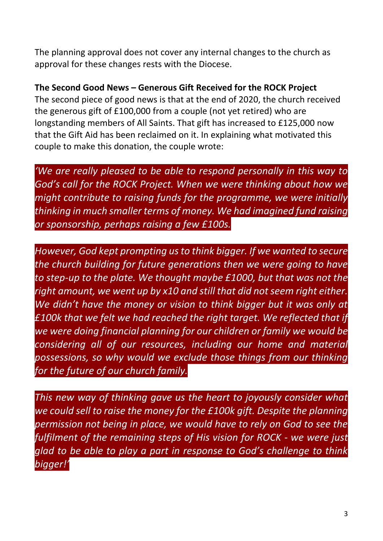The planning approval does not cover any internal changes to the church as approval for these changes rests with the Diocese.

### **The Second Good News – Generous Gift Received for the ROCK Project**

The second piece of good news is that at the end of 2020, the church received the generous gift of £100,000 from a couple (not yet retired) who are longstanding members of All Saints. That gift has increased to £125,000 now that the Gift Aid has been reclaimed on it. In explaining what motivated this couple to make this donation, the couple wrote:

*'We are really pleased to be able to respond personally in this way to God's call for the ROCK Project. When we were thinking about how we might contribute to raising funds for the programme, we were initially thinking in much smaller terms of money. We had imagined fund raising or sponsorship, perhaps raising a few £100s.* 

*However, God kept prompting us to think bigger. If we wanted to secure the church building for future generations then we were going to have to step-up to the plate. We thought maybe £1000, but that was not the right amount, we went up by x10 and still that did not seem right either. We didn't have the money or vision to think bigger but it was only at £100k that we felt we had reached the right target. We reflected that if we were doing financial planning for our children or family we would be considering all of our resources, including our home and material possessions, so why would we exclude those things from our thinking for the future of our church family.* 

*This new way of thinking gave us the heart to joyously consider what we could sell to raise the money for the £100k gift. Despite the planning permission not being in place, we would have to rely on God to see the fulfilment of the remaining steps of His vision for ROCK - we were just glad to be able to play a part in response to God's challenge to think bigger!'*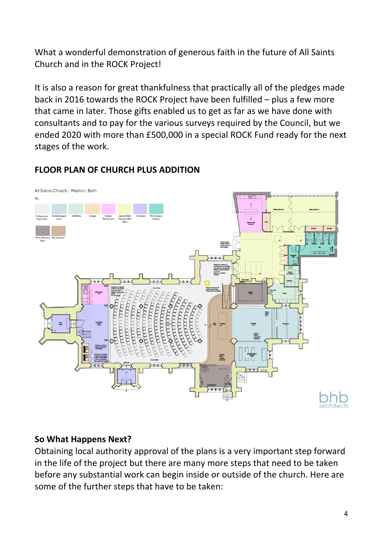What a wonderful demonstration of generous faith in the future of All Saints Church and in the ROCK Project!

It is also a reason for great thankfulness that practically all of the pledges made back in 2016 towards the ROCK Project have been fulfilled – plus a few more that came in later. Those gifts enabled us to get as far as we have done with consultants and to pay for the various surveys required by the Council, but we ended 2020 with more than £500,000 in a special ROCK Fund ready for the next stages of the work.

# **FLOOR PLAN OF CHURCH PLUS ADDITION**



#### **So What Happens Next?**

Obtaining local authority approval of the plans is a very important step forward in the life of the project but there are many more steps that need to be taken before any substantial work can begin inside or outside of the church. Here are some of the further steps that have to be taken: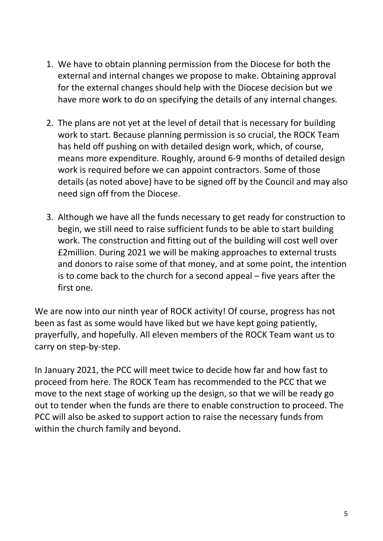- 1. We have to obtain planning permission from the Diocese for both the external and internal changes we propose to make. Obtaining approval for the external changes should help with the Diocese decision but we have more work to do on specifying the details of any internal changes.
- 2. The plans are not yet at the level of detail that is necessary for building work to start. Because planning permission is so crucial, the ROCK Team has held off pushing on with detailed design work, which, of course, means more expenditure. Roughly, around 6-9 months of detailed design work is required before we can appoint contractors. Some of those details (as noted above) have to be signed off by the Council and may also need sign off from the Diocese.
- 3. Although we have all the funds necessary to get ready for construction to begin, we still need to raise sufficient funds to be able to start building work. The construction and fitting out of the building will cost well over £2million. During 2021 we will be making approaches to external trusts and donors to raise some of that money, and at some point, the intention is to come back to the church for a second appeal – five years after the first one.

We are now into our ninth year of ROCK activity! Of course, progress has not been as fast as some would have liked but we have kept going patiently, prayerfully, and hopefully. All eleven members of the ROCK Team want us to carry on step-by-step.

In January 2021, the PCC will meet twice to decide how far and how fast to proceed from here. The ROCK Team has recommended to the PCC that we move to the next stage of working up the design, so that we will be ready go out to tender when the funds are there to enable construction to proceed. The PCC will also be asked to support action to raise the necessary funds from within the church family and beyond.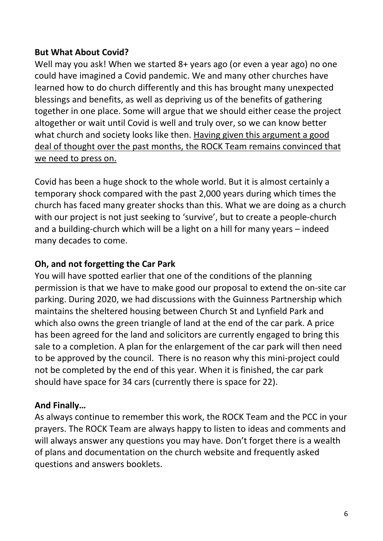# **But What About Covid?**

Well may you ask! When we started 8+ years ago (or even a year ago) no one could have imagined a Covid pandemic. We and many other churches have learned how to do church differently and this has brought many unexpected blessings and benefits, as well as depriving us of the benefits of gathering together in one place. Some will argue that we should either cease the project altogether or wait until Covid is well and truly over, so we can know better what church and society looks like then. Having given this argument a good deal of thought over the past months, the ROCK Team remains convinced that we need to press on.

Covid has been a huge shock to the whole world. But it is almost certainly a temporary shock compared with the past 2,000 years during which times the church has faced many greater shocks than this. What we are doing as a church with our project is not just seeking to 'survive', but to create a people-church and a building-church which will be a light on a hill for many years – indeed many decades to come.

# **Oh, and not forgetting the Car Park**

You will have spotted earlier that one of the conditions of the planning permission is that we have to make good our proposal to extend the on-site car parking. During 2020, we had discussions with the Guinness Partnership which maintains the sheltered housing between Church St and Lynfield Park and which also owns the green triangle of land at the end of the car park. A price has been agreed for the land and solicitors are currently engaged to bring this sale to a completion. A plan for the enlargement of the car park will then need to be approved by the council. There is no reason why this mini-project could not be completed by the end of this year. When it is finished, the car park should have space for 34 cars (currently there is space for 22).

# **And Finally…**

As always continue to remember this work, the ROCK Team and the PCC in your prayers. The ROCK Team are always happy to listen to ideas and comments and will always answer any questions you may have. Don't forget there is a wealth of plans and documentation on the church website and frequently asked questions and answers booklets.